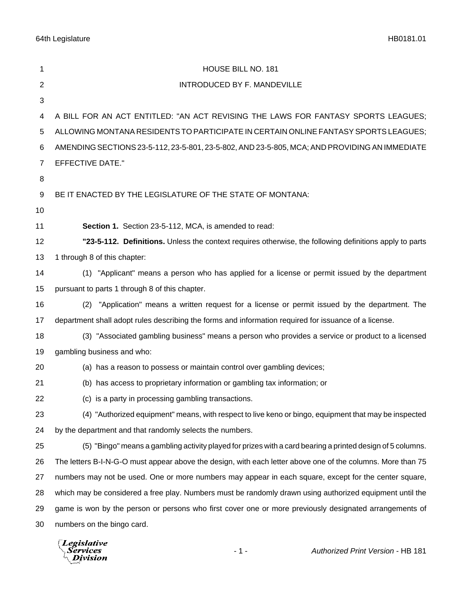| 1              | HOUSE BILL NO. 181                                                                                          |
|----------------|-------------------------------------------------------------------------------------------------------------|
| $\overline{2}$ | INTRODUCED BY F. MANDEVILLE                                                                                 |
| 3              |                                                                                                             |
| 4              | A BILL FOR AN ACT ENTITLED: "AN ACT REVISING THE LAWS FOR FANTASY SPORTS LEAGUES;                           |
| 5              | ALLOWING MONTANA RESIDENTS TO PARTICIPATE IN CERTAIN ONLINE FANTASY SPORTS LEAGUES;                         |
| 6              | AMENDING SECTIONS 23-5-112, 23-5-801, 23-5-802, AND 23-5-805, MCA; AND PROVIDING AN IMMEDIATE               |
| $\overline{7}$ | <b>EFFECTIVE DATE."</b>                                                                                     |
| 8              |                                                                                                             |
| 9              | BE IT ENACTED BY THE LEGISLATURE OF THE STATE OF MONTANA:                                                   |
| 10             |                                                                                                             |
| 11             | Section 1. Section 23-5-112, MCA, is amended to read:                                                       |
| 12             | "23-5-112. Definitions. Unless the context requires otherwise, the following definitions apply to parts     |
| 13             | 1 through 8 of this chapter:                                                                                |
| 14             | (1) "Applicant" means a person who has applied for a license or permit issued by the department             |
| 15             | pursuant to parts 1 through 8 of this chapter.                                                              |
| 16             | "Application" means a written request for a license or permit issued by the department. The<br>(2)          |
| 17             | department shall adopt rules describing the forms and information required for issuance of a license.       |
| 18             | (3) "Associated gambling business" means a person who provides a service or product to a licensed           |
| 19             | gambling business and who:                                                                                  |
| 20             | (a) has a reason to possess or maintain control over gambling devices;                                      |
| 21             | (b) has access to proprietary information or gambling tax information; or                                   |
| 22             | (c) is a party in processing gambling transactions.                                                         |
| 23             | (4) "Authorized equipment" means, with respect to live keno or bingo, equipment that may be inspected       |
| 24             | by the department and that randomly selects the numbers.                                                    |
| 25             | (5) "Bingo" means a gambling activity played for prizes with a card bearing a printed design of 5 columns.  |
| 26             | The letters B-I-N-G-O must appear above the design, with each letter above one of the columns. More than 75 |
| 27             | numbers may not be used. One or more numbers may appear in each square, except for the center square,       |
| 28             | which may be considered a free play. Numbers must be randomly drawn using authorized equipment until the    |
| 29             | game is won by the person or persons who first cover one or more previously designated arrangements of      |
| 30             | numbers on the bingo card.                                                                                  |
|                |                                                                                                             |

*Legislative*<br>Services<br>Division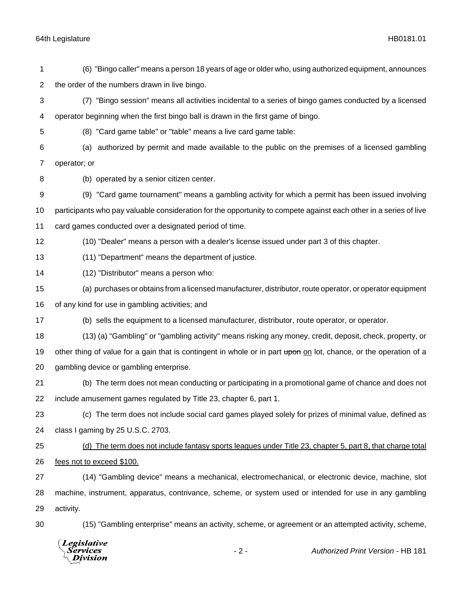(6) "Bingo caller" means a person 18 years of age or older who, using authorized equipment, announces the order of the numbers drawn in live bingo. (7) "Bingo session" means all activities incidental to a series of bingo games conducted by a licensed operator beginning when the first bingo ball is drawn in the first game of bingo. (8) "Card game table" or "table" means a live card game table: (a) authorized by permit and made available to the public on the premises of a licensed gambling operator; or (b) operated by a senior citizen center. (9) "Card game tournament" means a gambling activity for which a permit has been issued involving participants who pay valuable consideration for the opportunity to compete against each other in a series of live card games conducted over a designated period of time. (10) "Dealer" means a person with a dealer's license issued under part 3 of this chapter. (11) "Department" means the department of justice. (12) "Distributor" means a person who: (a) purchases or obtains from a licensed manufacturer, distributor, route operator, or operator equipment of any kind for use in gambling activities; and (b) sells the equipment to a licensed manufacturer, distributor, route operator, or operator. (13) (a) "Gambling" or "gambling activity" means risking any money, credit, deposit, check, property, or 19 other thing of value for a gain that is contingent in whole or in part upon on lot, chance, or the operation of a gambling device or gambling enterprise. (b) The term does not mean conducting or participating in a promotional game of chance and does not include amusement games regulated by Title 23, chapter 6, part 1. (c) The term does not include social card games played solely for prizes of minimal value, defined as class I gaming by 25 U.S.C. 2703. (d) The term does not include fantasy sports leagues under Title 23, chapter 5, part 8, that charge total fees not to exceed \$100. (14) "Gambling device" means a mechanical, electromechanical, or electronic device, machine, slot machine, instrument, apparatus, contrivance, scheme, or system used or intended for use in any gambling activity. (15) "Gambling enterprise" means an activity, scheme, or agreement or an attempted activity, scheme, **Legislative** 

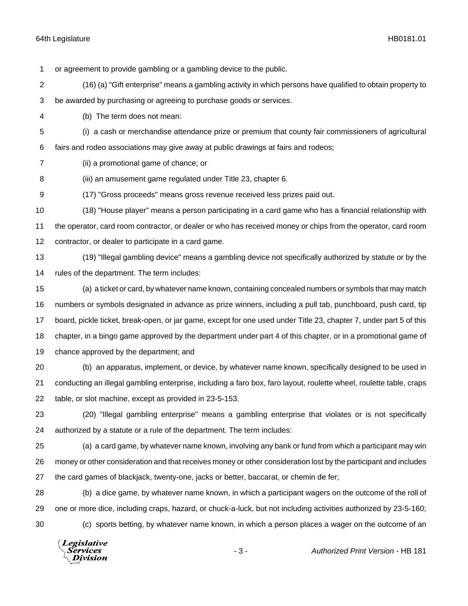or agreement to provide gambling or a gambling device to the public.

- (16) (a) "Gift enterprise" means a gambling activity in which persons have qualified to obtain property to
- be awarded by purchasing or agreeing to purchase goods or services.
- (b) The term does not mean:
- (i) a cash or merchandise attendance prize or premium that county fair commissioners of agricultural

fairs and rodeo associations may give away at public drawings at fairs and rodeos;

- (ii) a promotional game of chance; or
- (iii) an amusement game regulated under Title 23, chapter 6.
- (17) "Gross proceeds" means gross revenue received less prizes paid out.
- (18) "House player" means a person participating in a card game who has a financial relationship with the operator, card room contractor, or dealer or who has received money or chips from the operator, card room contractor, or dealer to participate in a card game.
- (19) "Illegal gambling device" means a gambling device not specifically authorized by statute or by the rules of the department. The term includes:
- (a) a ticket or card, by whatever name known, containing concealed numbers or symbols that may match numbers or symbols designated in advance as prize winners, including a pull tab, punchboard, push card, tip board, pickle ticket, break-open, or jar game, except for one used under Title 23, chapter 7, under part 5 of this chapter, in a bingo game approved by the department under part 4 of this chapter, or in a promotional game of chance approved by the department; and
- (b) an apparatus, implement, or device, by whatever name known, specifically designed to be used in conducting an illegal gambling enterprise, including a faro box, faro layout, roulette wheel, roulette table, craps table, or slot machine, except as provided in 23-5-153.
- (20) "Illegal gambling enterprise" means a gambling enterprise that violates or is not specifically authorized by a statute or a rule of the department. The term includes:
- (a) a card game, by whatever name known, involving any bank or fund from which a participant may win money or other consideration and that receives money or other consideration lost by the participant and includes the card games of blackjack, twenty-one, jacks or better, baccarat, or chemin de fer;
- (b) a dice game, by whatever name known, in which a participant wagers on the outcome of the roll of one or more dice, including craps, hazard, or chuck-a-luck, but not including activities authorized by 23-5-160; (c) sports betting, by whatever name known, in which a person places a wager on the outcome of an

Legislative Services **Division**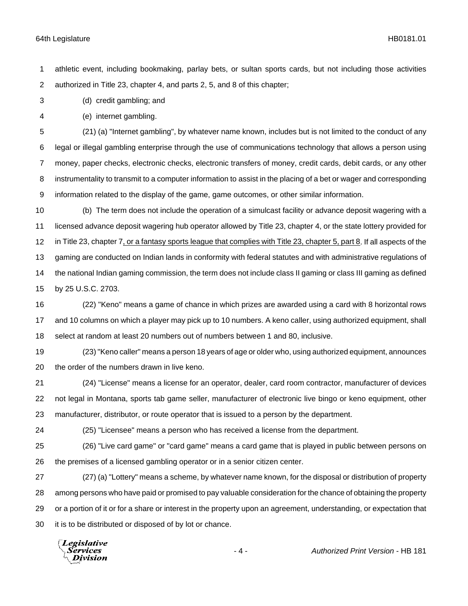athletic event, including bookmaking, parlay bets, or sultan sports cards, but not including those activities authorized in Title 23, chapter 4, and parts 2, 5, and 8 of this chapter;

(d) credit gambling; and

(e) internet gambling.

 (21) (a) "Internet gambling", by whatever name known, includes but is not limited to the conduct of any legal or illegal gambling enterprise through the use of communications technology that allows a person using money, paper checks, electronic checks, electronic transfers of money, credit cards, debit cards, or any other instrumentality to transmit to a computer information to assist in the placing of a bet or wager and corresponding information related to the display of the game, game outcomes, or other similar information.

 (b) The term does not include the operation of a simulcast facility or advance deposit wagering with a licensed advance deposit wagering hub operator allowed by Title 23, chapter 4, or the state lottery provided for in Title 23, chapter 7, or a fantasy sports league that complies with Title 23, chapter 5, part 8. If all aspects of the gaming are conducted on Indian lands in conformity with federal statutes and with administrative regulations of the national Indian gaming commission, the term does not include class II gaming or class III gaming as defined by 25 U.S.C. 2703.

 (22) "Keno" means a game of chance in which prizes are awarded using a card with 8 horizontal rows and 10 columns on which a player may pick up to 10 numbers. A keno caller, using authorized equipment, shall select at random at least 20 numbers out of numbers between 1 and 80, inclusive.

 (23) "Keno caller" means a person 18 years of age or older who, using authorized equipment, announces the order of the numbers drawn in live keno.

 (24) "License" means a license for an operator, dealer, card room contractor, manufacturer of devices not legal in Montana, sports tab game seller, manufacturer of electronic live bingo or keno equipment, other manufacturer, distributor, or route operator that is issued to a person by the department.

(25) "Licensee" means a person who has received a license from the department.

 (26) "Live card game" or "card game" means a card game that is played in public between persons on the premises of a licensed gambling operator or in a senior citizen center.

 (27) (a) "Lottery" means a scheme, by whatever name known, for the disposal or distribution of property among persons who have paid or promised to pay valuable consideration for the chance of obtaining the property or a portion of it or for a share or interest in the property upon an agreement, understanding, or expectation that it is to be distributed or disposed of by lot or chance.

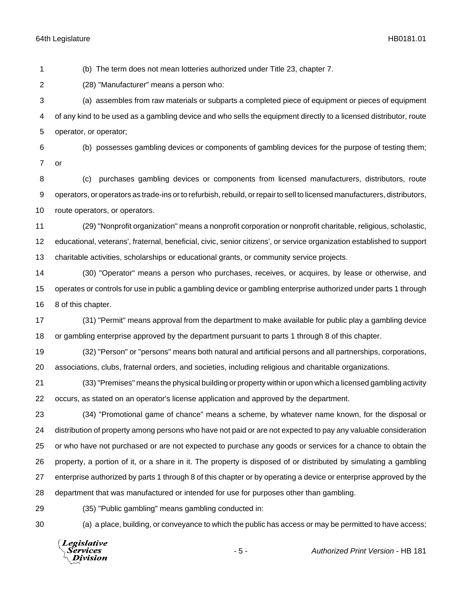(b) The term does not mean lotteries authorized under Title 23, chapter 7.

(28) "Manufacturer" means a person who:

 (a) assembles from raw materials or subparts a completed piece of equipment or pieces of equipment of any kind to be used as a gambling device and who sells the equipment directly to a licensed distributor, route operator, or operator;

 (b) possesses gambling devices or components of gambling devices for the purpose of testing them; or

 (c) purchases gambling devices or components from licensed manufacturers, distributors, route operators, or operators as trade-ins or to refurbish, rebuild, or repair to sell to licensed manufacturers, distributors, route operators, or operators.

 (29) "Nonprofit organization" means a nonprofit corporation or nonprofit charitable, religious, scholastic, educational, veterans', fraternal, beneficial, civic, senior citizens', or service organization established to support charitable activities, scholarships or educational grants, or community service projects.

 (30) "Operator" means a person who purchases, receives, or acquires, by lease or otherwise, and operates or controls for use in public a gambling device or gambling enterprise authorized under parts 1 through 8 of this chapter.

 (31) "Permit" means approval from the department to make available for public play a gambling device or gambling enterprise approved by the department pursuant to parts 1 through 8 of this chapter.

 (32) "Person" or "persons" means both natural and artificial persons and all partnerships, corporations, associations, clubs, fraternal orders, and societies, including religious and charitable organizations.

 (33) "Premises" means the physical building or property within or upon which a licensed gambling activity occurs, as stated on an operator's license application and approved by the department.

 (34) "Promotional game of chance" means a scheme, by whatever name known, for the disposal or distribution of property among persons who have not paid or are not expected to pay any valuable consideration or who have not purchased or are not expected to purchase any goods or services for a chance to obtain the property, a portion of it, or a share in it. The property is disposed of or distributed by simulating a gambling enterprise authorized by parts 1 through 8 of this chapter or by operating a device or enterprise approved by the department that was manufactured or intended for use for purposes other than gambling.

(35) "Public gambling" means gambling conducted in:

(a) a place, building, or conveyance to which the public has access or may be permitted to have access;

**Legislative** Services **Division** 

- 5 - *Authorized Print Version* - HB 181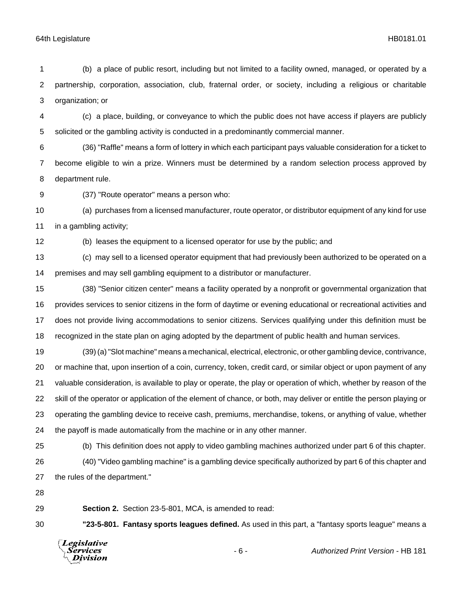(b) a place of public resort, including but not limited to a facility owned, managed, or operated by a partnership, corporation, association, club, fraternal order, or society, including a religious or charitable organization; or

 (c) a place, building, or conveyance to which the public does not have access if players are publicly solicited or the gambling activity is conducted in a predominantly commercial manner.

 (36) "Raffle" means a form of lottery in which each participant pays valuable consideration for a ticket to become eligible to win a prize. Winners must be determined by a random selection process approved by department rule.

(37) "Route operator" means a person who:

 (a) purchases from a licensed manufacturer, route operator, or distributor equipment of any kind for use in a gambling activity;

(b) leases the equipment to a licensed operator for use by the public; and

 (c) may sell to a licensed operator equipment that had previously been authorized to be operated on a premises and may sell gambling equipment to a distributor or manufacturer.

 (38) "Senior citizen center" means a facility operated by a nonprofit or governmental organization that provides services to senior citizens in the form of daytime or evening educational or recreational activities and does not provide living accommodations to senior citizens. Services qualifying under this definition must be recognized in the state plan on aging adopted by the department of public health and human services.

 (39) (a) "Slot machine" means a mechanical, electrical, electronic, or other gambling device, contrivance, or machine that, upon insertion of a coin, currency, token, credit card, or similar object or upon payment of any valuable consideration, is available to play or operate, the play or operation of which, whether by reason of the skill of the operator or application of the element of chance, or both, may deliver or entitle the person playing or operating the gambling device to receive cash, premiums, merchandise, tokens, or anything of value, whether the payoff is made automatically from the machine or in any other manner.

 (b) This definition does not apply to video gambling machines authorized under part 6 of this chapter. (40) "Video gambling machine" is a gambling device specifically authorized by part 6 of this chapter and the rules of the department."

**Section 2.** Section 23-5-801, MCA, is amended to read:

**"23-5-801. Fantasy sports leagues defined.** As used in this part, a "fantasy sports league" means a



- 6 - *Authorized Print Version* - HB 181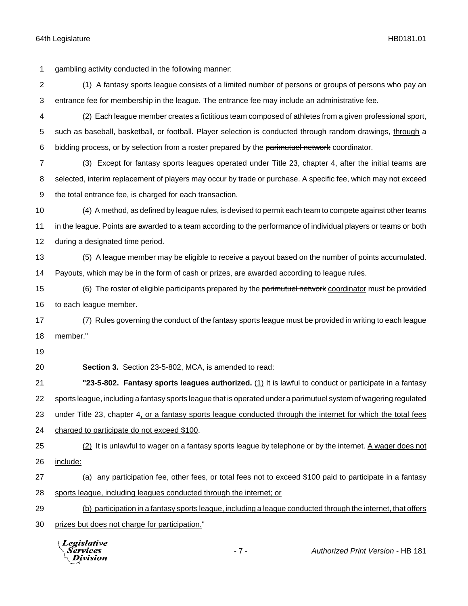gambling activity conducted in the following manner: (1) A fantasy sports league consists of a limited number of persons or groups of persons who pay an entrance fee for membership in the league. The entrance fee may include an administrative fee. 4 (2) Each league member creates a fictitious team composed of athletes from a given professional sport, such as baseball, basketball, or football. Player selection is conducted through random drawings, through a 6 bidding process, or by selection from a roster prepared by the parimutuel network coordinator. (3) Except for fantasy sports leagues operated under Title 23, chapter 4, after the initial teams are selected, interim replacement of players may occur by trade or purchase. A specific fee, which may not exceed the total entrance fee, is charged for each transaction. (4) A method, as defined by league rules, is devised to permit each team to compete against other teams in the league. Points are awarded to a team according to the performance of individual players or teams or both during a designated time period. (5) A league member may be eligible to receive a payout based on the number of points accumulated. Payouts, which may be in the form of cash or prizes, are awarded according to league rules. 15 (6) The roster of eligible participants prepared by the parimutuel network coordinator must be provided to each league member. (7) Rules governing the conduct of the fantasy sports league must be provided in writing to each league member." **Section 3.** Section 23-5-802, MCA, is amended to read: **"23-5-802. Fantasy sports leagues authorized.** (1) It is lawful to conduct or participate in a fantasy sports league, including a fantasy sports league that is operated under a parimutuel system of wagering regulated under Title 23, chapter 4, or a fantasy sports league conducted through the internet for which the total fees charged to participate do not exceed \$100. 25 (2) It is unlawful to wager on a fantasy sports league by telephone or by the internet. A wager does not include: (a) any participation fee, other fees, or total fees not to exceed \$100 paid to participate in a fantasy sports league, including leagues conducted through the internet; or (b) participation in a fantasy sports league, including a league conducted through the internet, that offers prizes but does not charge for participation." **Legislative** - 7 - *Authorized Print Version* - HB 181Services Division